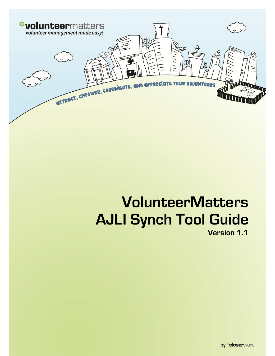

# **VolunteerMatters AJLI Synch Tool Guide Version 1.1**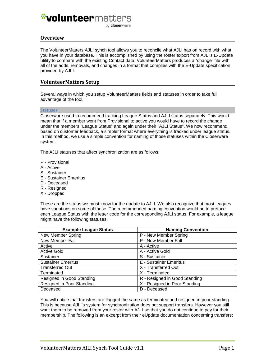by closerware

### **Overview**

The VolunteerMatters AJLI synch tool allows you to reconcile what AJLI has on record with what you have in your database. This is accomplished by using the roster export from AJLI's E-Update utility to compare with the existing Contact data. VolunteerMatters produces a "change" file with all of the adds, removals, and changes in a format that complies with the E-Update specification provided by AJLI.

### **VolunteerMatters Setup**

Several ways in which you setup VolunteerMatters fields and statuses in order to take full advantage of the tool.

#### **Statuses**

Closerware used to recommend tracking League Status and AJLI status separately. This would mean that if a member went from Provisional to active you would have to record the change under the members "League Status" and again under their "AJLI Status". We now recommend, based on customer feedback, a simpler format where everything is tracked under league status. In this method, we use a simple convention for naming of those statuses within the Closerware system.

The AJLI statuses that affect synchronization are as follows:

- P Provisional
- A Active
- S Sustainer
- E Sustainer Emeritus
- D Deceased
- R Resigned
- X Dropped

These are the status we must know for the update to AJLI. We also recognize that most leagues have variations on some of these. The recommended naming convention would be to preface each League Status with the letter code for the corresponding AJLI status. For example, a league might have the following statuses:

| <b>Example League Status</b> | <b>Naming Convention</b>      |
|------------------------------|-------------------------------|
| New Member Spring            | P - New Member Spring         |
| New Member Fall              | P - New Member Fall           |
| Active                       | A - Active                    |
| <b>Active Gold</b>           | A - Active Gold               |
| Sustainer                    | S - Sustainer                 |
| <b>Sustainer Emeritus</b>    | E - Sustainer Emeritus        |
| <b>Transferred Out</b>       | X - Transferred Out           |
| Terminated                   | X - Terminated                |
| Resigned in Good Standing    | R - Resigned in Good Standing |
| Resigned in Poor Standing    | X - Resigned in Poor Standing |
| Deceased                     | D - Deceased                  |

You will notice that transfers are flagged the same as terminated and resigned in poor standing. This is because AJLI's system for synchronization does not support transfers. However you still want them to be removed from your roster with AJLI so that you do not continue to pay for their membership. The following is an excerpt from their eUpdate documentation concerning transfers: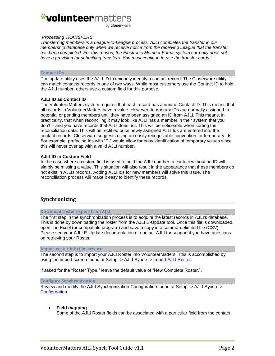#### *"Processing TRANSFERS*

*Transferring members is a League-to-League process. AJLI completes the transfer in our membership database only when we receive notice from the receiving League that the transfer has been completed. For this reason, the Electronic Member Forms system currently does not have a provision for submitting transfers. You must continue to use the transfer cards."*

#### **Contact IDs**

The update utility uses the AJLI ID to uniquely identify a contact record. The Closerware utility can match contacts records in one of two ways. While most customers use the Contact ID to hold the AJLI number, others use a custom field for this purpose.

#### **AJLI ID as Contact ID**

The VolunteerMatters system requires that each record has a unique Contact ID. This means that all records in VolunteerMatters have a value. However, temporary IDs are normally assigned to potential or pending members until they have been assigned an ID from AJLI. This means, in practicality, that when reconciling it may look like AJLI has a member in their system that you don't – and you have records that AJLI does not. This will be noticeable when sorting the reconciliation data. This will be rectified once newly assigned AJLI Ids are entered into the contact records. Closerware suggests using an easily recognizable convention for temporary Ids. For example, prefacing Ids with "T-" would allow for easy identification of temporary values since this will never overlap with a valid AJLI number.

#### **AJLI ID in Custom Field**

In the case where a custom field is used to hold the AJLI number, a contact without an ID will simply be missing a value. This situation will also result in the appearance that these members do not exist in AJLIs records. Adding AJLI Ids for new members will solve this issue. The reconciliation process will make it easy to identify these records.

### **Synchronizing**

#### **Download roster export from AJLI**

The first step in the synchronization process is to acquire the latest records in AJLI's database. This is done by downloading the roster from the AJLI E-Update tool. Once this file is downloaded, open it in Excel (or compatible program) and save a copy in a comma-delimited file (CSV). Please see your AJLI E-Update documentation or contact AJLI for support if you have questions on retrieving your Roster.

#### **Import roster into Closerware.**

The second step is to import your AJLI Roster into VolunteerMatters. This is accomplished by using the import screen found at Setup -> AJLI Synch -> [Import AJLI Roster.](https://www.closerware.com/vm/member/ajli/AjliRecordImport.do)

If asked for the "Roster Type," leave the default value of "New Complete Roster.".

#### **Configure Synchronization**

Review and modify the AJLI Synchronization Configuration found at Setup -> AJLI Synch -> [Configuration.](https://www.closerware.com/vm/member/ajli/SynchConfig.do)

**Field mapping**

Some of the AJLI Roster fields can be associated with a particular field from the contact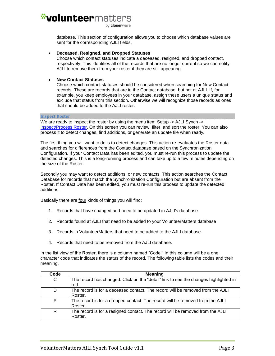database. This section of configuration allows you to choose which database values are sent for the corresponding AJLI fields.

#### **Deceased, Resigned, and Dropped Statuses**

Choose which contact statuses indicate a deceased, resigned, and dropped contact, respectively. This identifies all of the records that are no longer current so we can notify AJLI to remove them from your roster if they are still appearing.

#### **New Contact Statuses**

Choose which contact statuses should be considered when searching for New Contact records. These are records that are in the Contact database, but not at AJLI. If, for example, you keep employees in your database, assign these users a unique status and exclude that status from this section. Otherwise we will recognize those records as ones that should be added to the AJLI roster.

#### **Inspect Roster**

We are ready to inspect the roster by using the menu item Setup -> AJLI Synch -> [Inspect/Process Roster.](https://www.closerware.com/vm/member/ajli/AjliRecordListRefresh.do) On this screen you can review, filter, and sort the roster. You can also process it to detect changes, find additions, or generate an update file when ready.

The first thing you will want to do is to detect changes. This action re-evaluates the Roster data and searches for differences from the Contact database based on the Synchronization Configuration. If your Contact Data has been edited, you must re-run this process to update the detected changes. This is a long-running process and can take up to a few minutes depending on the size of the Roster.

Secondly you may want to detect additions, or new contacts. This action searches the Contact Database for records that match the Synchronization Configuration but are absent from the Roster. If Contact Data has been edited, you must re-run this process to update the detected additions.

Basically there are four kinds of things you will find:

- 1. Records that have changed and need to be updated in AJLI's database
- 2. Records found at AJLI that need to be added to your VolunteerMatters database
- 3. Records in VolunteerMatters that need to be added to the AJLI database.
- 4. Records that need to be removed from the AJLI database.

In the list view of the Roster, there is a column named "Code." In this column will be a one character code that indicates the status of the record. The following table lists the codes and their meaning.

| Code | <b>Meaning</b>                                                                               |
|------|----------------------------------------------------------------------------------------------|
| C    | The record has changed. Click on the "detail" link to see the changes highlighted in<br>red. |
| D    | The record is for a deceased contact. The record will be removed from the AJLI<br>Roster.    |
| P    | The record is for a dropped contact. The record will be removed from the AJLI<br>Roster.     |
| R    | The record is for a resigned contact. The record will be removed from the AJLI<br>Roster.    |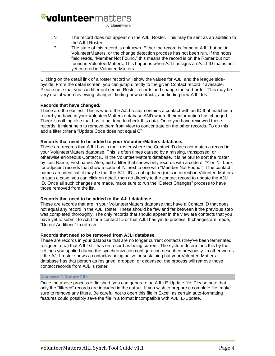by **closer**ware

| N. | The record does not appear on the AJLI Roster. This may be sent as an addition to<br>the AJLI Roster.                                                                                                                                                                                                                                                                             |
|----|-----------------------------------------------------------------------------------------------------------------------------------------------------------------------------------------------------------------------------------------------------------------------------------------------------------------------------------------------------------------------------------|
| 2  | The state of this record is unknown. Either the record is found at AJLI but not in<br>VolunteerMatters, or the change detection process has not been run. If the notes<br>field reads, "Member Not Found," this means the record is on the Roster but not<br>found in VolunteerMatters. This happens when AJLI assigns an AJLI ID that is not<br>yet entered in VolunteerMatters. |

Clicking on the detail link of a roster record will show the values for AJLI and the league sidebyside. From the detail screen, you can jump directly to the given Contact record if available. Please note that you can filter out certain Roster records and change the sort order. This may be very useful when reviewing changes, finding new contacts, and finding new AJLI Ids.

#### **Records that have changed.**

These are the easiest. This is where the AJLI roster contains a contact with an ID that matches a record you have in your VolunteerMatters database AND where their information has changed. There is nothing else that has to be done to check this data. Once you have reviewed these records, it might help to remove them from view to concentrate on the other records. To do this add a filter criteria "Update Code does not equal C"

#### **Records that need to be added to your VolunteerMatters database.**

These are records that AJLI has in their roster where the Contact ID does not match a record in your VolunteerMatters database. This is often times caused by a missing, transposed, or otherwise erroneous Contact ID in the VolunteerMatters database. It is helpful to sort the roster by Last Name, First name. Also, add a filter that shows only records with a code of '?' or 'N'. Look for adjacent records that show a code of 'N' next to one with "Member Not Found." If the contact names are identical, it may be that the AJLI ID is not updated (or is incorrect) in VolunteerMatters. In such a case, you can click on detail, then go directly to the contact record to update the AJLI ID. Once all such changes are made, make sure to run the "Detect Changes" process to have those removed from the list.

#### **Records that need to be added to the AJLI database.**

These are records that are in your VolunteerMatters database that have a Contact ID that does not equal any record in the AJLI roster. These should be few and far between if the previous step was completed thoroughly. The only records that should appear in the view are contacts that you have yet to submit to AJLI for a contact ID or that AJLI has yet to process. If changes are made, "Detect Additions" to refresh.

#### **Records that need to be removed from AJLI database.**

These are records in your database that are no longer current contacts (they've been terminated, resigned, etc.) that AJLI still has on record as being current. The system determines this by the settings you applied during the synchronization configuration described previously. In other words if the AJLI roster shows a contactas being active or sustaining but your VolunteerMatters database has that person as resigned, dropped, or deceased, the process will remove those contact records from AJLI's roster.

#### **Generate E-Update File**

Once the above process is finished, you can generate an AJLI E-Update file. Please note that only the "filtered" records are included in the output. If you wish to prepare a complete file, make sure to remove any filters. Be careful not to open this file in Excel, as certain auto-formatting features could possibly save the file in a format incompatible with AJLI E-Update.